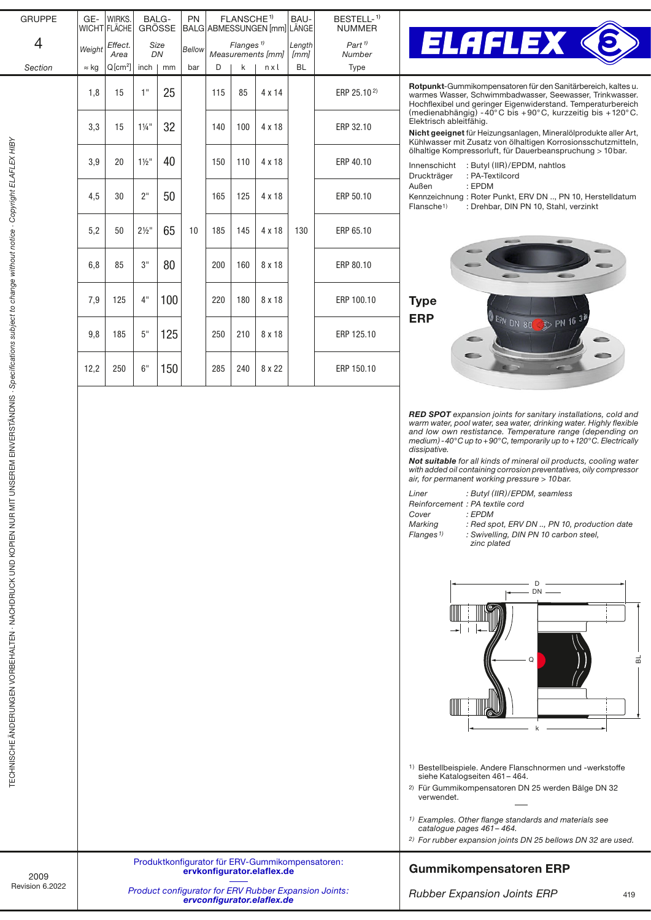| <b>GRUPPE</b> | GE-          | WIRKS.<br>WICHT FLÄCHE | BALG-<br><b>GRÖSSE</b> |     | PN<br>FLANSCHE <sup>1)</sup><br>BALG ABMESSUNGEN [mm] LÄNGE |                                            |     |               | BAU-           | BESTELL- <sup>1)</sup><br><b>NUMMER</b>    |                   |  |
|---------------|--------------|------------------------|------------------------|-----|-------------------------------------------------------------|--------------------------------------------|-----|---------------|----------------|--------------------------------------------|-------------------|--|
| 4             | Weight       | Effect.<br>Area        | Size<br>DN             |     | Bellow                                                      | Flanges $\frac{1}{2}$<br>Measurements [mm] |     |               | Length<br>[mm] | $Part$ <sup><math>1</math></sup><br>Number |                   |  |
| Section       | $\approx$ kg | $Q[cm^2]$              | inch                   | mm  | bar                                                         | D                                          | k   | nxl           | <b>BL</b>      | Type                                       |                   |  |
|               | 1,8          | 15                     | 1"                     | 25  |                                                             | 115                                        | 85  | $4 \times 14$ |                | ERP 25.10 <sup>2)</sup>                    | R<br>W<br>Н       |  |
|               | 3,3          | 15                     | $1\frac{1}{4}$ "       | 32  | 140                                                         |                                            | 100 | 4 x 18        |                | ERP 32.10                                  | (r<br>Е<br>N<br>K |  |
|               | 3,9          | 20                     | $1\frac{1}{2}$ "       | 40  |                                                             | 150                                        | 110 | 4 x 18        |                | ERP 40.10                                  | ö<br>Ir<br>D      |  |
|               | 4,5          | 30                     | 2 <sup>11</sup>        | 50  |                                                             | 165                                        | 125 | $4 \times 18$ |                | ERP 50.10                                  | A<br>K<br>F       |  |
|               | 5,2          | 50                     | $2\frac{1}{2}$ "       | 65  | 10                                                          | 185                                        | 145 | $4 \times 18$ | 130            | ERP 65.10                                  |                   |  |
|               | 6,8          | 85                     | 3"                     | 80  |                                                             | 200                                        | 160 | 8 x 18        |                | ERP 80.10                                  |                   |  |
|               | 7,9          | 125                    | 4"                     | 100 |                                                             | 220                                        | 180 | 8 x 18        |                | ERP 100.10                                 | ı<br>E            |  |
|               | 9,8          | 185                    | $5"$                   | 125 |                                                             | 250                                        | 210 | 8 x 18        |                | ERP 125.10                                 |                   |  |
|               | 12,2         | 250                    | 6"                     | 150 |                                                             | 285                                        | 240 | 8 x 22        |                | ERP 150.10                                 |                   |  |
|               |              |                        |                        |     |                                                             |                                            |     |               |                |                                            |                   |  |



**Rotpunkt**-Gummikompensatoren für den Sanitärbereich, kaltes u. warmes Wasser, Schwimmbadwasser, Seewasser, Trinkwasser. Hochflexibel und geringer Eigenwiderstand. Temperaturbereich medienabhängig) -40°C bis +90°C, kurzzeitig bis +120°C. Elektrisch ableitfähig.

Nicht geeignet für Heizungsanlagen, Mineralölprodukte aller Art, Kühlwasser mit Zusatz von ölhaltigen Korrosionsschutzmitteln, ölhaltige Kompressorluft, für Dauerbeanspruchung > 10bar.

Innenschicht : Butyl (IIR)/EPDM, nahtlos Druckträger : PA-Textilcord Außen : EPDM Kennzeichnung : Roter Punkt, ERV DN .., PN 10, Herstelldatum Flansche1) : Drehbar, DIN PN 10, Stahl, verzinkt



*RED SPOT expansion joints for sanitary installations, cold and warm water, pool water, sea water, drinking water. Highly flexible and low own restistance. Temperature range (depending on medium) -40°C up to +90°C, temporarily up to +120°C. Electrically dissipative.*

*Not suitable for all kinds of mineral oil products, cooling water with added oil containing corrosion preventatives, oily compressor air, for permanent working pressure > 10bar.*

| Liner | : Butyl (IIR)/EPDM, seamless    |
|-------|---------------------------------|
|       | Reinforcement : PA textile cord |
| Cover | : EPDM                          |

*Marking : Red spot, ERV DN .., PN 10, production date Flanges 1) : Swivelling, DIN PN 10 carbon steel, zinc plated*



- 1) Bestellbeispiele. Andere Flanschnormen und -werkstoffe siehe Katalogseiten 461– 464.
- 2) Für Gummikompensatoren DN 25 werden Bälge DN 32 verwendet.
- *1) Examples. Other flange standards and materials see catalogue pages 461– 464.*
- *2) For rubber expansion joints DN 25 bellows DN 32 are used.*

## Gummikompensatoren ERP

**Product configurator for ERV Rubber Expansion Joints:** *[ervconfigurator.elaflex.de](http://ervconfigurator.elaflex.de)* [ervkonfigurator.elaflex.de](http://ervkonfigurator.elaflex.de)

Produktkonfigurator für ERV-Gummikompensatoren:

*Rubber Expansion Joints ERP*